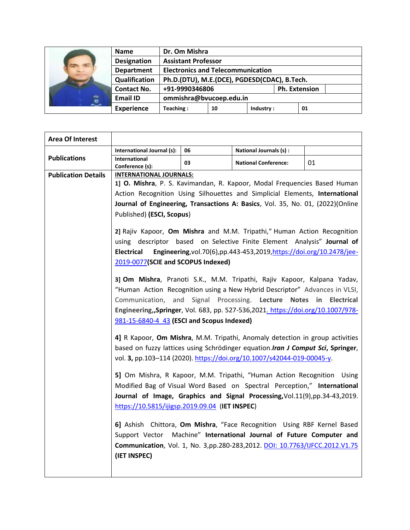| $\int$ $\theta$ $\int$ | <b>Name</b>        | Dr. Om Mishra                                |    |           |                      |    |
|------------------------|--------------------|----------------------------------------------|----|-----------|----------------------|----|
|                        | <b>Designation</b> | <b>Assistant Professor</b>                   |    |           |                      |    |
|                        | <b>Department</b>  | <b>Electronics and Telecommunication</b>     |    |           |                      |    |
|                        | Qualification      | Ph.D.(DTU), M.E.(DCE), PGDESD(CDAC), B.Tech. |    |           |                      |    |
|                        | <b>Contact No.</b> | +91-9990346806                               |    |           | <b>Ph. Extension</b> |    |
|                        | <b>Email ID</b>    | ommishra@bvucoep.edu.in                      |    |           |                      |    |
|                        | <b>Experience</b>  | Teaching:                                    | 10 | Industry: |                      | 01 |

| <b>Area Of Interest</b>    |                                                                                        |    |                                                                                 |       |  |  |
|----------------------------|----------------------------------------------------------------------------------------|----|---------------------------------------------------------------------------------|-------|--|--|
|                            | International Journal (s):                                                             | 06 | National Journals (s) :                                                         |       |  |  |
| <b>Publications</b>        | International<br>Conference (s):                                                       | 03 | <b>National Conference:</b>                                                     | 01    |  |  |
| <b>Publication Details</b> | <b>INTERNATIONAL JOURNALS:</b>                                                         |    |                                                                                 |       |  |  |
|                            | 1] O. Mishra, P. S. Kavimandan, R. Kapoor, Modal Frequencies Based Human               |    |                                                                                 |       |  |  |
|                            | Action Recognition Using Silhouettes and Simplicial Elements, International            |    |                                                                                 |       |  |  |
|                            | Journal of Engineering, Transactions A: Basics, Vol. 35, No. 01, (2022)(Online         |    |                                                                                 |       |  |  |
|                            | Published) (ESCI, Scopus)                                                              |    |                                                                                 |       |  |  |
|                            | 2] Rajiv Kapoor, Om Mishra and M.M. Tripathi," Human Action Recognition                |    |                                                                                 |       |  |  |
|                            | using descriptor based on Selective Finite Element Analysis" Journal of                |    |                                                                                 |       |  |  |
|                            | Engineering, vol. 70(6), pp. 443-453, 2019, https://doi.org/10.2478/jee-<br>Electrical |    |                                                                                 |       |  |  |
|                            | 2019-0077(SCIE and SCOPUS Indexed)                                                     |    |                                                                                 |       |  |  |
|                            | 3] Om Mishra, Pranoti S.K., M.M. Tripathi, Rajiv Kapoor, Kalpana Yadav,                |    |                                                                                 |       |  |  |
|                            | "Human Action Recognition using a New Hybrid Descriptor" Advances in VLSI,             |    |                                                                                 |       |  |  |
|                            | Communication, and Signal Processing. Lecture Notes in Electrical                      |    |                                                                                 |       |  |  |
|                            | Engineering,,Springer, Vol. 683, pp. 527-536,2021. https://doi.org/10.1007/978-        |    |                                                                                 |       |  |  |
|                            | 981-15-6840-4 43 (ESCI and Scopus Indexed)                                             |    |                                                                                 |       |  |  |
|                            | 4] R Kapoor, Om Mishra, M.M. Tripathi, Anomaly detection in group activities           |    |                                                                                 |       |  |  |
|                            | based on fuzzy lattices using Schrödinger equation. Iran J Comput Sci, Springer,       |    |                                                                                 |       |  |  |
|                            |                                                                                        |    | vol. 3, pp.103-114 (2020). https://doi.org/10.1007/s42044-019-00045-y.          |       |  |  |
|                            |                                                                                        |    | 5] Om Mishra, R Kapoor, M.M. Tripathi, "Human Action Recognition                | Using |  |  |
|                            |                                                                                        |    | Modified Bag of Visual Word Based on Spectral Perception," International        |       |  |  |
|                            |                                                                                        |    | Journal of Image, Graphics and Signal Processing, Vol.11(9), pp.34-43, 2019.    |       |  |  |
|                            | https://10.5815/ijigsp.2019.09.04 (IET INSPEC)                                         |    |                                                                                 |       |  |  |
|                            |                                                                                        |    | 6] Ashish Chittora, Om Mishra, "Face Recognition Using RBF Kernel Based         |       |  |  |
|                            |                                                                                        |    | Support Vector Machine" International Journal of Future Computer and            |       |  |  |
|                            |                                                                                        |    | Communication, Vol. 1, No. 3, pp.280-283, 2012. DOI: 10.7763/IJFCC. 2012. V1.75 |       |  |  |
|                            | (IET INSPEC)                                                                           |    |                                                                                 |       |  |  |
|                            |                                                                                        |    |                                                                                 |       |  |  |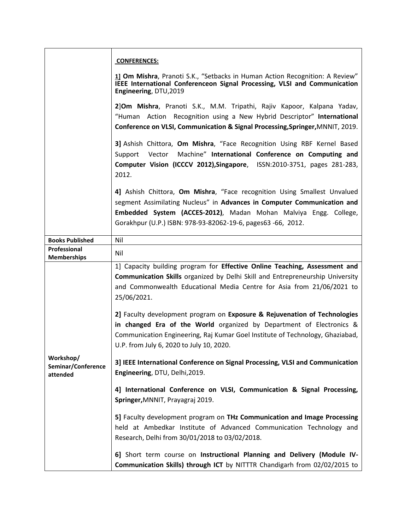|                                             | <b>CONFERENCES:</b>                                                                                                                                                                                                                                                                     |
|---------------------------------------------|-----------------------------------------------------------------------------------------------------------------------------------------------------------------------------------------------------------------------------------------------------------------------------------------|
|                                             | 11 Om Mishra, Pranoti S.K., "Setbacks in Human Action Recognition: A Review"<br>IEEE International Conferenceon Signal Processing, VLSI and Communication<br>Engineering, DTU, 2019                                                                                                     |
|                                             | 2]Om Mishra, Pranoti S.K., M.M. Tripathi, Rajiv Kapoor, Kalpana Yadav,<br>"Human Action Recognition using a New Hybrid Descriptor" International<br>Conference on VLSI, Communication & Signal Processing, Springer, MNNIT, 2019.                                                       |
|                                             | 3] Ashish Chittora, Om Mishra, "Face Recognition Using RBF Kernel Based<br>Machine" International Conference on Computing and<br>Support<br>Vector<br>Computer Vision (ICCCV 2012), Singapore, ISSN: 2010-3751, pages 281-283,<br>2012.                                                 |
|                                             | 4] Ashish Chittora, Om Mishra, "Face recognition Using Smallest Unvalued<br>segment Assimilating Nucleus" in Advances in Computer Communication and<br>Embedded System (ACCES-2012), Madan Mohan Malviya Engg. College,<br>Gorakhpur (U.P.) ISBN: 978-93-82062-19-6, pages63 -66, 2012. |
| <b>Books Published</b>                      | Nil                                                                                                                                                                                                                                                                                     |
| Professional<br><b>Memberships</b>          | Nil                                                                                                                                                                                                                                                                                     |
|                                             | 1] Capacity building program for Effective Online Teaching, Assessment and<br><b>Communication Skills organized by Delhi Skill and Entrepreneurship University</b><br>and Commonwealth Educational Media Centre for Asia from 21/06/2021 to<br>25/06/2021.                              |
|                                             | 2] Faculty development program on Exposure & Rejuvenation of Technologies<br>in changed Era of the World organized by Department of Electronics &<br>Communication Engineering, Raj Kumar Goel Institute of Technology, Ghaziabad,<br>U.P. from July 6, 2020 to July 10, 2020.          |
| Workshop/<br>Seminar/Conference<br>attended | 3] IEEE International Conference on Signal Processing, VLSI and Communication<br>Engineering, DTU, Delhi, 2019.                                                                                                                                                                         |
|                                             | 4] International Conference on VLSI, Communication & Signal Processing,<br>Springer, MNNIT, Prayagraj 2019.                                                                                                                                                                             |
|                                             | 5] Faculty development program on THz Communication and Image Processing<br>held at Ambedkar Institute of Advanced Communication Technology and<br>Research, Delhi from 30/01/2018 to 03/02/2018.                                                                                       |
|                                             | 6] Short term course on Instructional Planning and Delivery (Module IV-<br>Communication Skills) through ICT by NITTTR Chandigarh from 02/02/2015 to                                                                                                                                    |